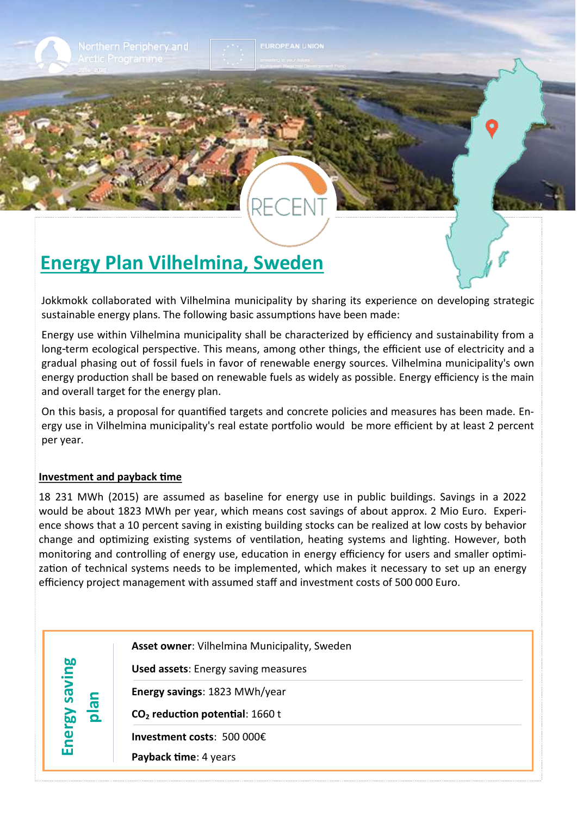

**UROPEAN UNION** 

## **Energy Plan Vilhelmina, Sweden**

Jokkmokk collaborated with Vilhelmina municipality by sharing its experience on developing strategic sustainable energy plans. The following basic assumptions have been made:

Energy use within Vilhelmina municipality shall be characterized by efficiency and sustainability from a long-term ecological perspective. This means, among other things, the efficient use of electricity and a gradual phasing out of fossil fuels in favor of renewable energy sources. Vilhelmina municipality's own energy production shall be based on renewable fuels as widely as possible. Energy efficiency is the main and overall target for the energy plan.

On this basis, a proposal for quantified targets and concrete policies and measures has been made. Energy use in Vilhelmina municipality's real estate portfolio would be more efficient by at least 2 percent per year.

## **Investment and payback time**

18 231 MWh (2015) are assumed as baseline for energy use in public buildings. Savings in a 2022 would be about 1823 MWh per year, which means cost savings of about approx. 2 Mio Euro. Experience shows that a 10 percent saving in existing building stocks can be realized at low costs by behavior change and optimizing existing systems of ventilation, heating systems and lighting. However, both monitoring and controlling of energy use, education in energy efficiency for users and smaller optimization of technical systems needs to be implemented, which makes it necessary to set up an energy efficiency project management with assumed staff and investment costs of 500 000 Euro.

**Asset owner**: Vilhelmina Municipality, Sweden **Energy saving**  Energy saving **Used assets**: Energy saving measures **Energy savings**: 1823 MWh/year **plan CO<sup>2</sup> reduction potential**: 1660 t **Investment costs**: 500 000€ **Payback time**: 4 years